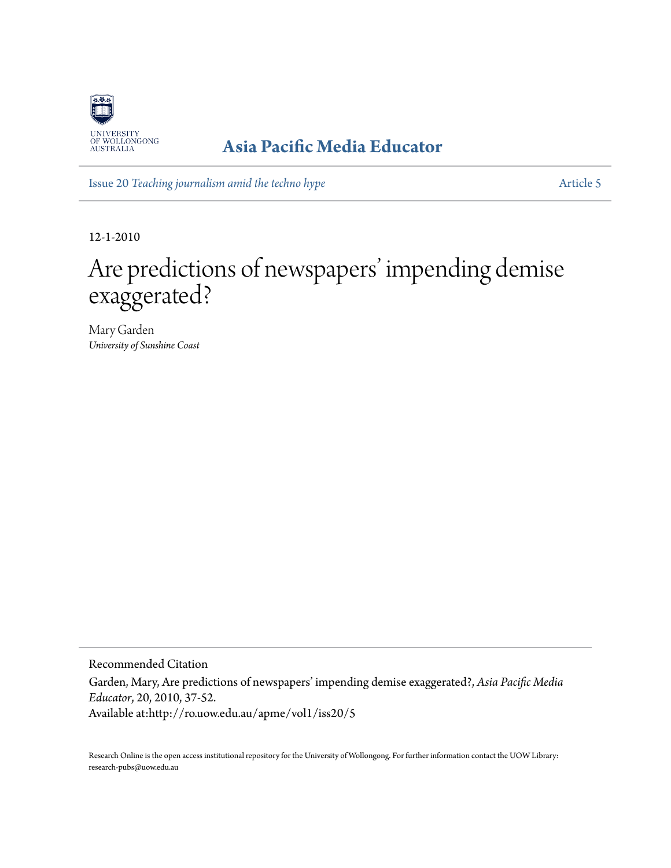

## **[Asia Pacific Media Educator](http://ro.uow.edu.au/apme)**

Issue 20 *[Teaching journalism amid the techno hype](http://ro.uow.edu.au/apme/vol1/iss20)* [Article 5](http://ro.uow.edu.au/apme/vol1/iss20/5)

12-1-2010

# Are predictions of newspapers' impending demise exaggerated?

Mary Garden *University of Sunshine Coast*

Recommended Citation

Garden, Mary, Are predictions of newspapers' impending demise exaggerated?, *Asia Pacific Media Educator*, 20, 2010, 37-52. Available at:http://ro.uow.edu.au/apme/vol1/iss20/5

Research Online is the open access institutional repository for the University of Wollongong. For further information contact the UOW Library: research-pubs@uow.edu.au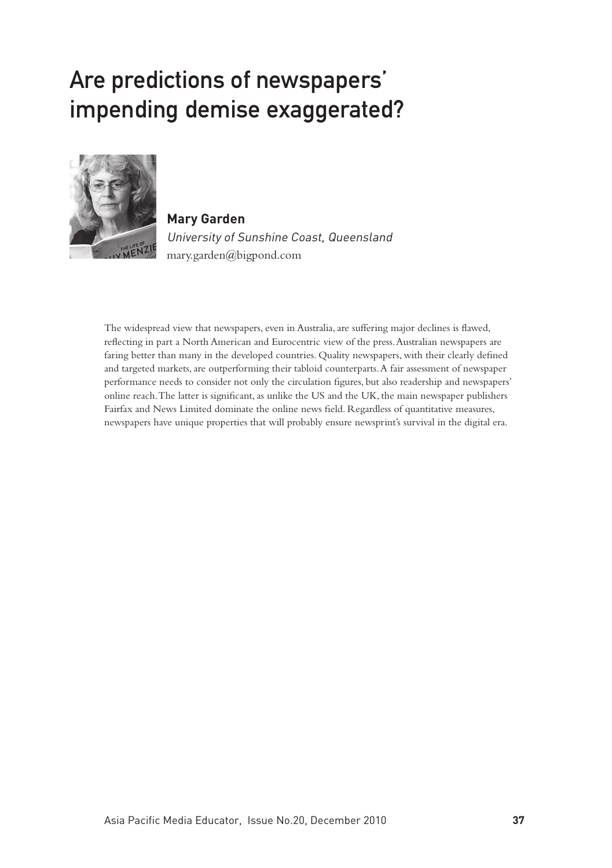# Are predictions of newspapers' impending demise exaggerated?



**Mary Garden** University of Sunshine Coast, Queensland mary.garden@bigpond.com

The widespread view that newspapers, even in Australia, are suffering major declines is flawed, reflecting in part a North American and Eurocentric view of the press. Australian newspapers are faring better than many in the developed countries. Quality newspapers, with their clearly defined and targeted markets, are outperforming their tabloid counterparts. A fair assessment of newspaper performance needs to consider not only the circulation figures, but also readership and newspapers' online reach. The latter is significant, as unlike the US and the UK, the main newspaper publishers Fairfax and News Limited dominate the online news field. Regardless of quantitative measures, newspapers have unique properties that will probably ensure newsprint's survival in the digital era.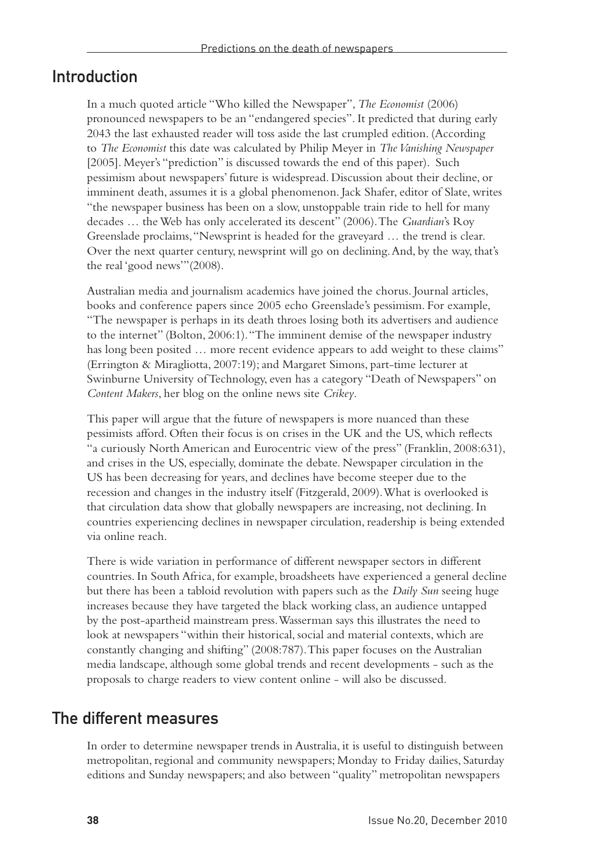### Introduction

In a much quoted article "Who killed the Newspaper", *The Economist* (2006) pronounced newspapers to be an "endangered species". It predicted that during early 2043 the last exhausted reader will toss aside the last crumpled edition. (According to *The Economist* this date was calculated by Philip Meyer in *The Vanishing Newspaper* [2005]. Meyer's "prediction" is discussed towards the end of this paper). Such pessimism about newspapers' future is widespread. Discussion about their decline, or imminent death, assumes it is a global phenomenon. Jack Shafer, editor of Slate, writes "the newspaper business has been on a slow, unstoppable train ride to hell for many decades … the Web has only accelerated its descent" (2006). The *Guardian*'s Roy Greenslade proclaims, "Newsprint is headed for the graveyard … the trend is clear. Over the next quarter century, newsprint will go on declining. And, by the way, that's the real 'good news'"(2008).

Australian media and journalism academics have joined the chorus. Journal articles, books and conference papers since 2005 echo Greenslade's pessimism. For example, "The newspaper is perhaps in its death throes losing both its advertisers and audience to the internet" (Bolton, 2006:1). "The imminent demise of the newspaper industry has long been posited ... more recent evidence appears to add weight to these claims" (Errington & Miragliotta, 2007:19); and Margaret Simons, part-time lecturer at Swinburne University of Technology, even has a category "Death of Newspapers" on *Content Makers*, her blog on the online news site *Crikey*.

This paper will argue that the future of newspapers is more nuanced than these pessimists afford. Often their focus is on crises in the UK and the US, which reflects "a curiously North American and Eurocentric view of the press" (Franklin, 2008:631), and crises in the US, especially, dominate the debate. Newspaper circulation in the US has been decreasing for years, and declines have become steeper due to the recession and changes in the industry itself (Fitzgerald, 2009). What is overlooked is that circulation data show that globally newspapers are increasing, not declining. In countries experiencing declines in newspaper circulation, readership is being extended via online reach.

There is wide variation in performance of different newspaper sectors in different countries. In South Africa, for example, broadsheets have experienced a general decline but there has been a tabloid revolution with papers such as the *Daily Sun* seeing huge increases because they have targeted the black working class, an audience untapped by the post-apartheid mainstream press. Wasserman says this illustrates the need to look at newspapers "within their historical, social and material contexts, which are constantly changing and shifting" (2008:787). This paper focuses on the Australian media landscape, although some global trends and recent developments - such as the proposals to charge readers to view content online - will also be discussed.

### The different measures

In order to determine newspaper trends in Australia, it is useful to distinguish between metropolitan, regional and community newspapers; Monday to Friday dailies, Saturday editions and Sunday newspapers; and also between "quality" metropolitan newspapers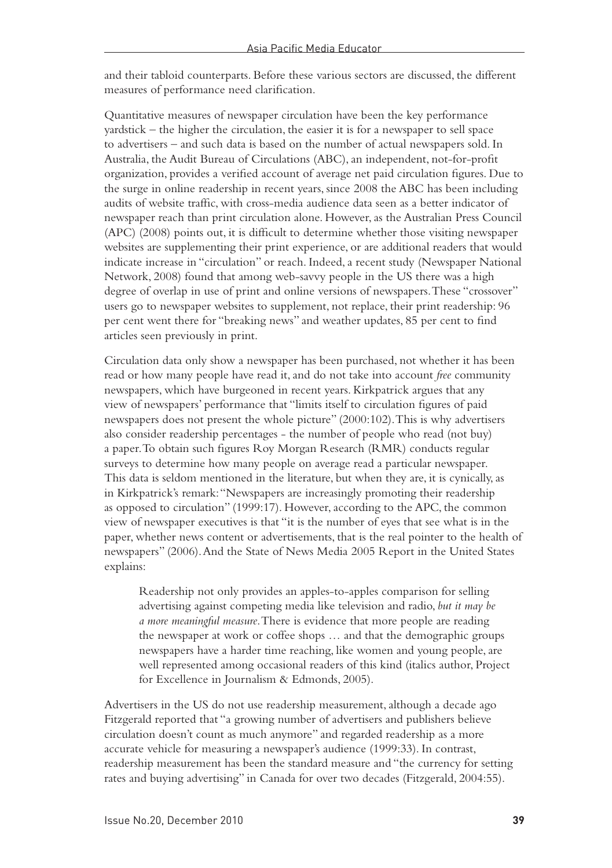and their tabloid counterparts. Before these various sectors are discussed, the different measures of performance need clarification.

Quantitative measures of newspaper circulation have been the key performance yardstick – the higher the circulation, the easier it is for a newspaper to sell space to advertisers – and such data is based on the number of actual newspapers sold. In Australia, the Audit Bureau of Circulations (ABC), an independent, not-for-profit organization, provides a verified account of average net paid circulation figures. Due to the surge in online readership in recent years, since 2008 the ABC has been including audits of website traffic, with cross-media audience data seen as a better indicator of newspaper reach than print circulation alone. However, as the Australian Press Council (APC) (2008) points out, it is difficult to determine whether those visiting newspaper websites are supplementing their print experience, or are additional readers that would indicate increase in "circulation" or reach. Indeed, a recent study (Newspaper National Network, 2008) found that among web-savvy people in the US there was a high degree of overlap in use of print and online versions of newspapers. These "crossover" users go to newspaper websites to supplement, not replace, their print readership: 96 per cent went there for "breaking news" and weather updates, 85 per cent to find articles seen previously in print.

Circulation data only show a newspaper has been purchased, not whether it has been read or how many people have read it, and do not take into account *free* community newspapers, which have burgeoned in recent years. Kirkpatrick argues that any view of newspapers' performance that "limits itself to circulation figures of paid newspapers does not present the whole picture" (2000:102). This is why advertisers also consider readership percentages - the number of people who read (not buy) a paper. To obtain such figures Roy Morgan Research (RMR) conducts regular surveys to determine how many people on average read a particular newspaper. This data is seldom mentioned in the literature, but when they are, it is cynically, as in Kirkpatrick's remark: "Newspapers are increasingly promoting their readership as opposed to circulation" (1999:17). However, according to the APC, the common view of newspaper executives is that "it is the number of eyes that see what is in the paper, whether news content or advertisements, that is the real pointer to the health of newspapers" (2006). And the State of News Media 2005 Report in the United States explains:

Readership not only provides an apples-to-apples comparison for selling advertising against competing media like television and radio, *but it may be a more meaningful measure*. There is evidence that more people are reading the newspaper at work or coffee shops … and that the demographic groups newspapers have a harder time reaching, like women and young people, are well represented among occasional readers of this kind (italics author, Project for Excellence in Journalism & Edmonds, 2005).

Advertisers in the US do not use readership measurement, although a decade ago Fitzgerald reported that "a growing number of advertisers and publishers believe circulation doesn't count as much anymore" and regarded readership as a more accurate vehicle for measuring a newspaper's audience (1999:33). In contrast, readership measurement has been the standard measure and "the currency for setting rates and buying advertising" in Canada for over two decades (Fitzgerald, 2004:55).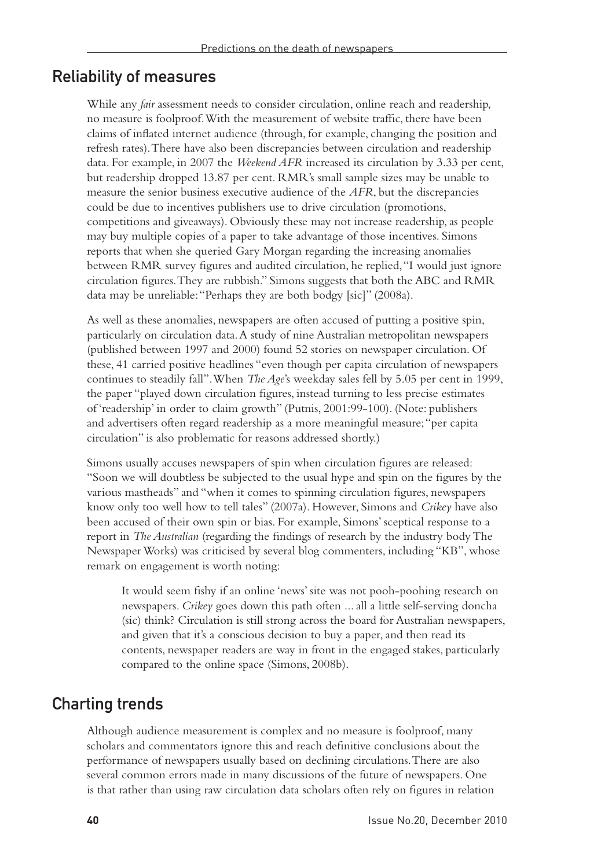### Reliability of measures

While any *fair* assessment needs to consider circulation, online reach and readership, no measure is foolproof. With the measurement of website traffic, there have been claims of inflated internet audience (through, for example, changing the position and refresh rates). There have also been discrepancies between circulation and readership data. For example, in 2007 the *Weekend AFR* increased its circulation by 3.33 per cent, but readership dropped 13.87 per cent. RMR's small sample sizes may be unable to measure the senior business executive audience of the *AFR*, but the discrepancies could be due to incentives publishers use to drive circulation (promotions, competitions and giveaways). Obviously these may not increase readership, as people may buy multiple copies of a paper to take advantage of those incentives. Simons reports that when she queried Gary Morgan regarding the increasing anomalies between RMR survey figures and audited circulation, he replied, "I would just ignore circulation figures. They are rubbish." Simons suggests that both the ABC and RMR data may be unreliable: "Perhaps they are both bodgy [sic]" (2008a).

As well as these anomalies, newspapers are often accused of putting a positive spin, particularly on circulation data. A study of nine Australian metropolitan newspapers (published between 1997 and 2000) found 52 stories on newspaper circulation. Of these, 41 carried positive headlines "even though per capita circulation of newspapers continues to steadily fall". When *The Age*'s weekday sales fell by 5.05 per cent in 1999, the paper "played down circulation figures, instead turning to less precise estimates of 'readership' in order to claim growth" (Putnis, 2001:99-100). (Note: publishers and advertisers often regard readership as a more meaningful measure; "per capita circulation" is also problematic for reasons addressed shortly.)

Simons usually accuses newspapers of spin when circulation figures are released: "Soon we will doubtless be subjected to the usual hype and spin on the figures by the various mastheads" and "when it comes to spinning circulation figures, newspapers know only too well how to tell tales" (2007a). However, Simons and *Crikey* have also been accused of their own spin or bias. For example, Simons' sceptical response to a report in *The Australian* (regarding the findings of research by the industry body The Newspaper Works) was criticised by several blog commenters, including "KB", whose remark on engagement is worth noting:

It would seem fishy if an online 'news' site was not pooh-poohing research on newspapers. *Crikey* goes down this path often ... all a little self-serving doncha (sic) think? Circulation is still strong across the board for Australian newspapers, and given that it's a conscious decision to buy a paper, and then read its contents, newspaper readers are way in front in the engaged stakes, particularly compared to the online space (Simons, 2008b).

### Charting trends

Although audience measurement is complex and no measure is foolproof, many scholars and commentators ignore this and reach definitive conclusions about the performance of newspapers usually based on declining circulations. There are also several common errors made in many discussions of the future of newspapers. One is that rather than using raw circulation data scholars often rely on figures in relation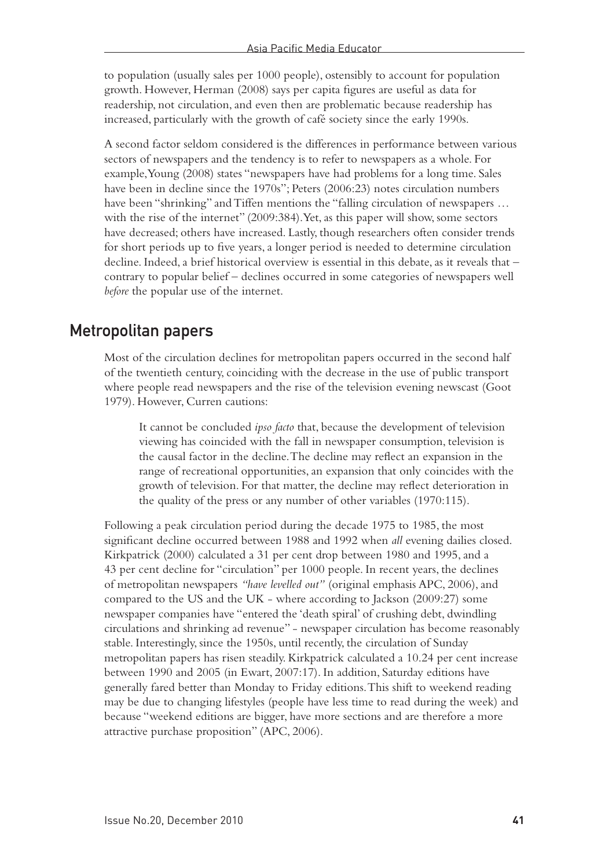to population (usually sales per 1000 people), ostensibly to account for population growth. However, Herman (2008) says per capita figures are useful as data for readership, not circulation, and even then are problematic because readership has increased, particularly with the growth of café society since the early 1990s.

A second factor seldom considered is the differences in performance between various sectors of newspapers and the tendency is to refer to newspapers as a whole. For example, Young (2008) states "newspapers have had problems for a long time. Sales have been in decline since the 1970s"; Peters (2006:23) notes circulation numbers have been "shrinking" and Tiffen mentions the "falling circulation of newspapers … with the rise of the internet" (2009:384). Yet, as this paper will show, some sectors have decreased; others have increased. Lastly, though researchers often consider trends for short periods up to five years, a longer period is needed to determine circulation decline. Indeed, a brief historical overview is essential in this debate, as it reveals that – contrary to popular belief – declines occurred in some categories of newspapers well *before* the popular use of the internet.

### Metropolitan papers

Most of the circulation declines for metropolitan papers occurred in the second half of the twentieth century, coinciding with the decrease in the use of public transport where people read newspapers and the rise of the television evening newscast (Goot 1979). However, Curren cautions:

It cannot be concluded *ipso facto* that, because the development of television viewing has coincided with the fall in newspaper consumption, television is the causal factor in the decline. The decline may reflect an expansion in the range of recreational opportunities, an expansion that only coincides with the growth of television. For that matter, the decline may reflect deterioration in the quality of the press or any number of other variables (1970:115).

Following a peak circulation period during the decade 1975 to 1985, the most significant decline occurred between 1988 and 1992 when *all* evening dailies closed. Kirkpatrick (2000) calculated a 31 per cent drop between 1980 and 1995, and a 43 per cent decline for "circulation" per 1000 people. In recent years, the declines of metropolitan newspapers *"have levelled out"* (original emphasis APC, 2006), and compared to the US and the UK - where according to Jackson (2009:27) some newspaper companies have "entered the 'death spiral' of crushing debt, dwindling circulations and shrinking ad revenue" - newspaper circulation has become reasonably stable. Interestingly, since the 1950s, until recently, the circulation of Sunday metropolitan papers has risen steadily. Kirkpatrick calculated a 10.24 per cent increase between 1990 and 2005 (in Ewart, 2007:17). In addition, Saturday editions have generally fared better than Monday to Friday editions. This shift to weekend reading may be due to changing lifestyles (people have less time to read during the week) and because "weekend editions are bigger, have more sections and are therefore a more attractive purchase proposition" (APC, 2006).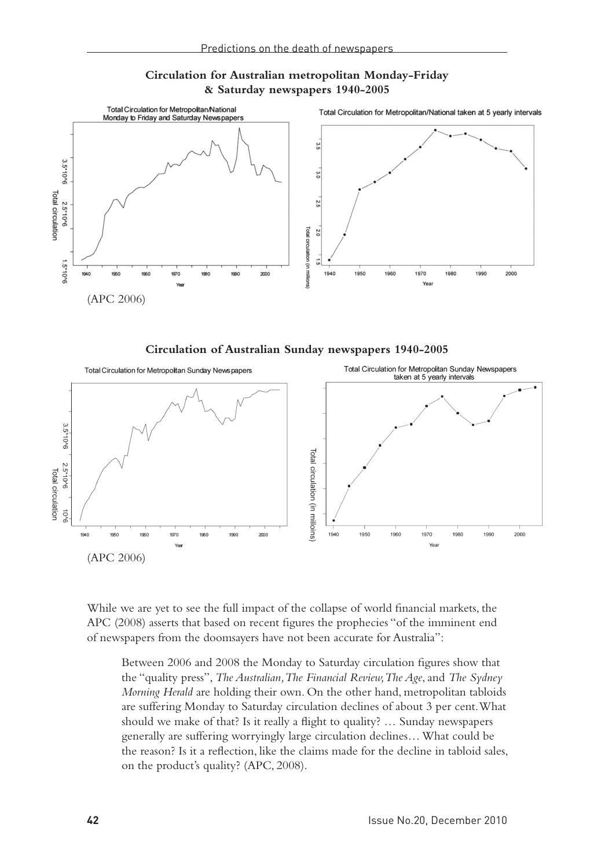



**Circulation of Australian Sunday newspapers 1940-2005**



While we are yet to see the full impact of the collapse of world financial markets, the APC (2008) asserts that based on recent figures the prophecies "of the imminent end of newspapers from the doomsayers have not been accurate for Australia":

Between 2006 and 2008 the Monday to Saturday circulation figures show that the "quality press", *The Australian, The Financial Review, The Age*, and *The Sydney Morning Herald* are holding their own. On the other hand, metropolitan tabloids are suffering Monday to Saturday circulation declines of about 3 per cent. What should we make of that? Is it really a flight to quality? … Sunday newspapers generally are suffering worryingly large circulation declines… What could be the reason? Is it a reflection, like the claims made for the decline in tabloid sales, on the product's quality? (APC, 2008).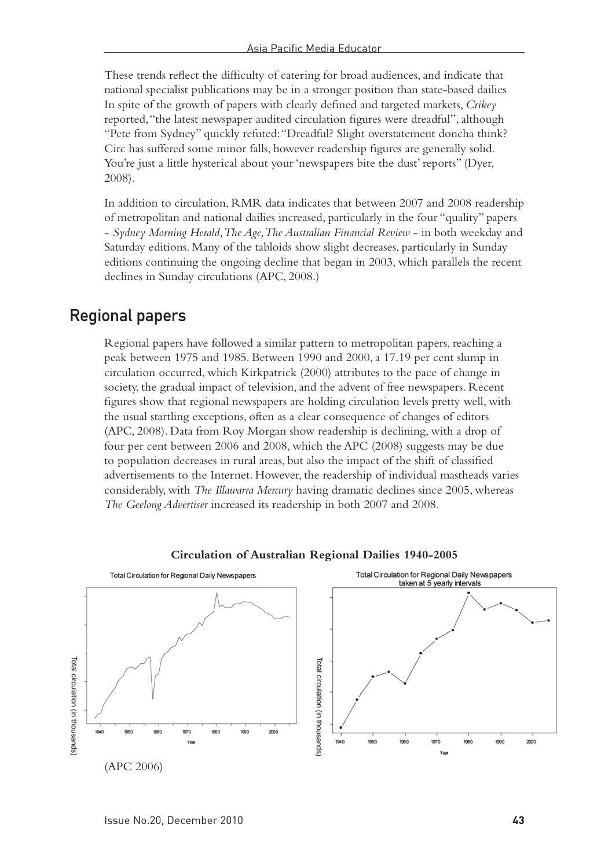These trends reflect the difficulty of catering for broad audiences, and indicate that national specialist publications may be in a stronger position than state-based dailies In spite of the growth of papers with clearly defined and targeted markets, *Crikey* reported, "the latest newspaper audited circulation figures were dreadful", although "Pete from Sydney" quickly refuted: "Dreadful? Slight overstatement doncha think? Circ has suffered some minor falls, however readership figures are generally solid. You're just a little hysterical about your 'newspapers bite the dust' reports" (Dyer, 2008).

In addition to circulation, RMR data indicates that between 2007 and 2008 readership of metropolitan and national dailies increased, particularly in the four "quality" papers - *Sydney Morning Herald, The Age, The Australian Financial Review* - in both weekday and Saturday editions. Many of the tabloids show slight decreases, particularly in Sunday editions continuing the ongoing decline that began in 2003, which parallels the recent declines in Sunday circulations (APC, 2008.)

### Regional papers

Regional papers have followed a similar pattern to metropolitan papers, reaching a peak between 1975 and 1985. Between 1990 and 2000, a 17.19 per cent slump in circulation occurred, which Kirkpatrick (2000) attributes to the pace of change in society, the gradual impact of television, and the advent of free newspapers. Recent figures show that regional newspapers are holding circulation levels pretty well, with the usual startling exceptions, often as a clear consequence of changes of editors (APC, 2008). Data from Roy Morgan show readership is declining, with a drop of four per cent between 2006 and 2008, which the APC (2008) suggests may be due to population decreases in rural areas, but also the impact of the shift of classified advertisements to the Internet. However, the readership of individual mastheads varies considerably, with *The Illawarra Mercury* having dramatic declines since 2005, whereas *The Geelong Advertiser* increased its readership in both 2007 and 2008.



#### **Circulation of Australian Regional Dailies 1940-2005**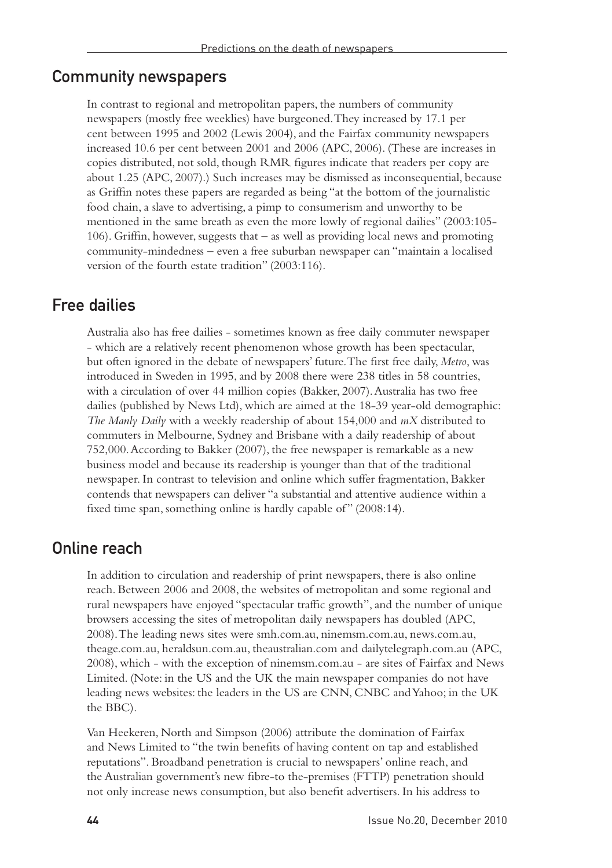### Community newspapers

In contrast to regional and metropolitan papers, the numbers of community newspapers (mostly free weeklies) have burgeoned. They increased by 17.1 per cent between 1995 and 2002 (Lewis 2004), and the Fairfax community newspapers increased 10.6 per cent between 2001 and 2006 (APC, 2006). (These are increases in copies distributed, not sold, though RMR figures indicate that readers per copy are about 1.25 (APC, 2007).) Such increases may be dismissed as inconsequential, because as Griffin notes these papers are regarded as being "at the bottom of the journalistic food chain, a slave to advertising, a pimp to consumerism and unworthy to be mentioned in the same breath as even the more lowly of regional dailies" (2003:105- 106). Griffin, however, suggests that – as well as providing local news and promoting community-mindedness – even a free suburban newspaper can "maintain a localised version of the fourth estate tradition" (2003:116).

### Free dailies

Australia also has free dailies - sometimes known as free daily commuter newspaper - which are a relatively recent phenomenon whose growth has been spectacular, but often ignored in the debate of newspapers' future. The first free daily, *Metro*, was introduced in Sweden in 1995, and by 2008 there were 238 titles in 58 countries, with a circulation of over 44 million copies (Bakker, 2007). Australia has two free dailies (published by News Ltd), which are aimed at the 18-39 year-old demographic: *The Manly Daily* with a weekly readership of about 154,000 and *mX* distributed to commuters in Melbourne, Sydney and Brisbane with a daily readership of about 752,000. According to Bakker (2007), the free newspaper is remarkable as a new business model and because its readership is younger than that of the traditional newspaper. In contrast to television and online which suffer fragmentation, Bakker contends that newspapers can deliver "a substantial and attentive audience within a fixed time span, something online is hardly capable of" (2008:14).

### Online reach

In addition to circulation and readership of print newspapers, there is also online reach. Between 2006 and 2008, the websites of metropolitan and some regional and rural newspapers have enjoyed "spectacular traffic growth", and the number of unique browsers accessing the sites of metropolitan daily newspapers has doubled (APC, 2008). The leading news sites were smh.com.au, ninemsm.com.au, news.com.au, theage.com.au, heraldsun.com.au, theaustralian.com and dailytelegraph.com.au (APC, 2008), which - with the exception of ninemsm.com.au - are sites of Fairfax and News Limited. (Note: in the US and the UK the main newspaper companies do not have leading news websites: the leaders in the US are CNN, CNBC and Yahoo; in the UK the BBC).

Van Heekeren, North and Simpson (2006) attribute the domination of Fairfax and News Limited to "the twin benefits of having content on tap and established reputations". Broadband penetration is crucial to newspapers' online reach, and the Australian government's new fibre-to the-premises (FTTP) penetration should not only increase news consumption, but also benefit advertisers. In his address to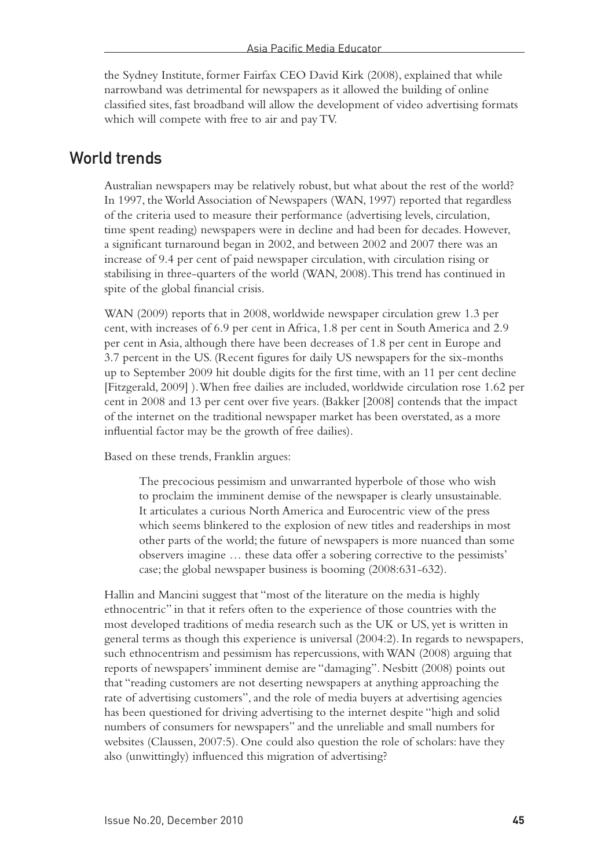the Sydney Institute, former Fairfax CEO David Kirk (2008), explained that while narrowband was detrimental for newspapers as it allowed the building of online classified sites, fast broadband will allow the development of video advertising formats which will compete with free to air and pay TV.

### World trends

Australian newspapers may be relatively robust, but what about the rest of the world? In 1997, the World Association of Newspapers (WAN, 1997) reported that regardless of the criteria used to measure their performance (advertising levels, circulation, time spent reading) newspapers were in decline and had been for decades. However, a significant turnaround began in 2002, and between 2002 and 2007 there was an increase of 9.4 per cent of paid newspaper circulation, with circulation rising or stabilising in three-quarters of the world (WAN, 2008). This trend has continued in spite of the global financial crisis.

WAN (2009) reports that in 2008, worldwide newspaper circulation grew 1.3 per cent, with increases of 6.9 per cent in Africa, 1.8 per cent in South America and 2.9 per cent in Asia, although there have been decreases of 1.8 per cent in Europe and 3.7 percent in the US. (Recent figures for daily US newspapers for the six-months up to September 2009 hit double digits for the first time, with an 11 per cent decline [Fitzgerald, 2009] ). When free dailies are included, worldwide circulation rose 1.62 per cent in 2008 and 13 per cent over five years. (Bakker [2008] contends that the impact of the internet on the traditional newspaper market has been overstated, as a more influential factor may be the growth of free dailies).

Based on these trends, Franklin argues:

The precocious pessimism and unwarranted hyperbole of those who wish to proclaim the imminent demise of the newspaper is clearly unsustainable. It articulates a curious North America and Eurocentric view of the press which seems blinkered to the explosion of new titles and readerships in most other parts of the world; the future of newspapers is more nuanced than some observers imagine … these data offer a sobering corrective to the pessimists' case; the global newspaper business is booming (2008:631-632).

Hallin and Mancini suggest that "most of the literature on the media is highly ethnocentric" in that it refers often to the experience of those countries with the most developed traditions of media research such as the UK or US, yet is written in general terms as though this experience is universal (2004:2). In regards to newspapers, such ethnocentrism and pessimism has repercussions, with WAN (2008) arguing that reports of newspapers' imminent demise are "damaging". Nesbitt (2008) points out that "reading customers are not deserting newspapers at anything approaching the rate of advertising customers", and the role of media buyers at advertising agencies has been questioned for driving advertising to the internet despite "high and solid numbers of consumers for newspapers" and the unreliable and small numbers for websites (Claussen, 2007:5). One could also question the role of scholars: have they also (unwittingly) influenced this migration of advertising?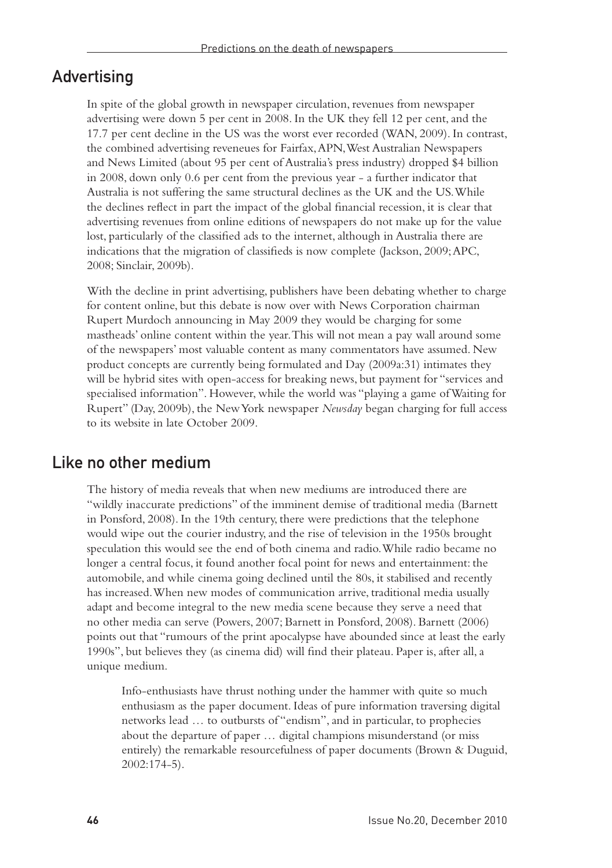### Advertising

In spite of the global growth in newspaper circulation, revenues from newspaper advertising were down 5 per cent in 2008. In the UK they fell 12 per cent, and the 17.7 per cent decline in the US was the worst ever recorded (WAN, 2009). In contrast, the combined advertising reveneues for Fairfax, APN, West Australian Newspapers and News Limited (about 95 per cent of Australia's press industry) dropped \$4 billion in 2008, down only 0.6 per cent from the previous year - a further indicator that Australia is not suffering the same structural declines as the UK and the US. While the declines reflect in part the impact of the global financial recession, it is clear that advertising revenues from online editions of newspapers do not make up for the value lost, particularly of the classified ads to the internet, although in Australia there are indications that the migration of classifieds is now complete (Jackson, 2009; APC, 2008; Sinclair, 2009b).

With the decline in print advertising, publishers have been debating whether to charge for content online, but this debate is now over with News Corporation chairman Rupert Murdoch announcing in May 2009 they would be charging for some mastheads' online content within the year. This will not mean a pay wall around some of the newspapers' most valuable content as many commentators have assumed. New product concepts are currently being formulated and Day (2009a:31) intimates they will be hybrid sites with open-access for breaking news, but payment for "services and specialised information". However, while the world was "playing a game of Waiting for Rupert" (Day, 2009b), the New York newspaper *Newsday* began charging for full access to its website in late October 2009.

### Like no other medium

The history of media reveals that when new mediums are introduced there are "wildly inaccurate predictions" of the imminent demise of traditional media (Barnett in Ponsford, 2008). In the 19th century, there were predictions that the telephone would wipe out the courier industry, and the rise of television in the 1950s brought speculation this would see the end of both cinema and radio. While radio became no longer a central focus, it found another focal point for news and entertainment: the automobile, and while cinema going declined until the 80s, it stabilised and recently has increased. When new modes of communication arrive, traditional media usually adapt and become integral to the new media scene because they serve a need that no other media can serve (Powers, 2007; Barnett in Ponsford, 2008). Barnett (2006) points out that "rumours of the print apocalypse have abounded since at least the early 1990s", but believes they (as cinema did) will find their plateau. Paper is, after all, a unique medium.

Info-enthusiasts have thrust nothing under the hammer with quite so much enthusiasm as the paper document. Ideas of pure information traversing digital networks lead … to outbursts of "endism", and in particular, to prophecies about the departure of paper … digital champions misunderstand (or miss entirely) the remarkable resourcefulness of paper documents (Brown & Duguid, 2002:174-5).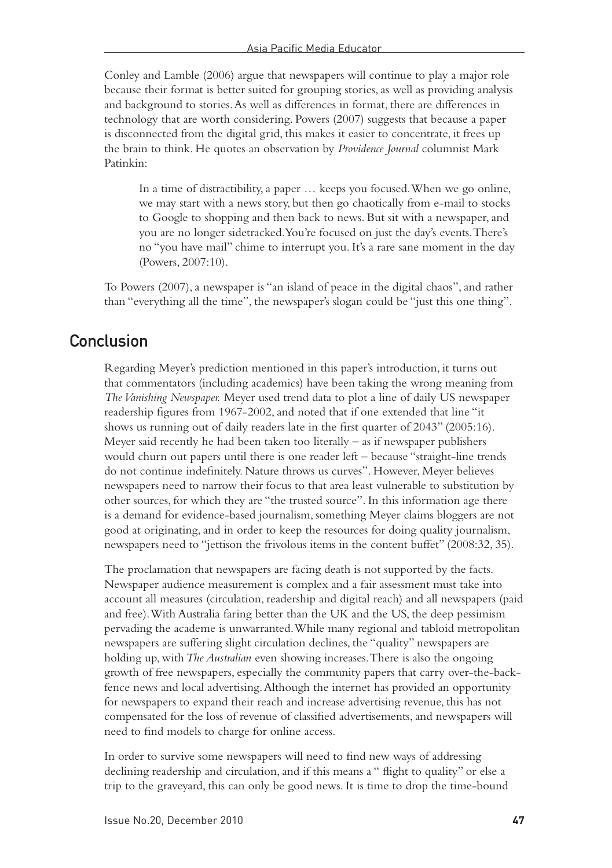Conley and Lamble (2006) argue that newspapers will continue to play a major role because their format is better suited for grouping stories, as well as providing analysis and background to stories. As well as differences in format, there are differences in technology that are worth considering. Powers (2007) suggests that because a paper is disconnected from the digital grid, this makes it easier to concentrate, it frees up the brain to think. He quotes an observation by *Providence Journal* columnist Mark Patinkin:

In a time of distractibility, a paper … keeps you focused. When we go online, we may start with a news story, but then go chaotically from e-mail to stocks to Google to shopping and then back to news. But sit with a newspaper, and you are no longer sidetracked. You're focused on just the day's events. There's no "you have mail" chime to interrupt you. It's a rare sane moment in the day (Powers, 2007:10).

To Powers (2007), a newspaper is "an island of peace in the digital chaos", and rather than "everything all the time", the newspaper's slogan could be "just this one thing".

### **Conclusion**

Regarding Meyer's prediction mentioned in this paper's introduction, it turns out that commentators (including academics) have been taking the wrong meaning from *The Vanishing Newspaper.* Meyer used trend data to plot a line of daily US newspaper readership figures from 1967-2002, and noted that if one extended that line "it shows us running out of daily readers late in the first quarter of 2043" (2005:16). Meyer said recently he had been taken too literally – as if newspaper publishers would churn out papers until there is one reader left – because "straight-line trends do not continue indefinitely. Nature throws us curves". However, Meyer believes newspapers need to narrow their focus to that area least vulnerable to substitution by other sources, for which they are "the trusted source". In this information age there is a demand for evidence-based journalism, something Meyer claims bloggers are not good at originating, and in order to keep the resources for doing quality journalism, newspapers need to "jettison the frivolous items in the content buffet" (2008:32, 35).

The proclamation that newspapers are facing death is not supported by the facts. Newspaper audience measurement is complex and a fair assessment must take into account all measures (circulation, readership and digital reach) and all newspapers (paid and free). With Australia faring better than the UK and the US, the deep pessimism pervading the academe is unwarranted. While many regional and tabloid metropolitan newspapers are suffering slight circulation declines, the "quality" newspapers are holding up, with *The Australian* even showing increases. There is also the ongoing growth of free newspapers, especially the community papers that carry over-the-backfence news and local advertising. Although the internet has provided an opportunity for newspapers to expand their reach and increase advertising revenue, this has not compensated for the loss of revenue of classified advertisements, and newspapers will need to find models to charge for online access.

In order to survive some newspapers will need to find new ways of addressing declining readership and circulation, and if this means a " flight to quality" or else a trip to the graveyard, this can only be good news. It is time to drop the time-bound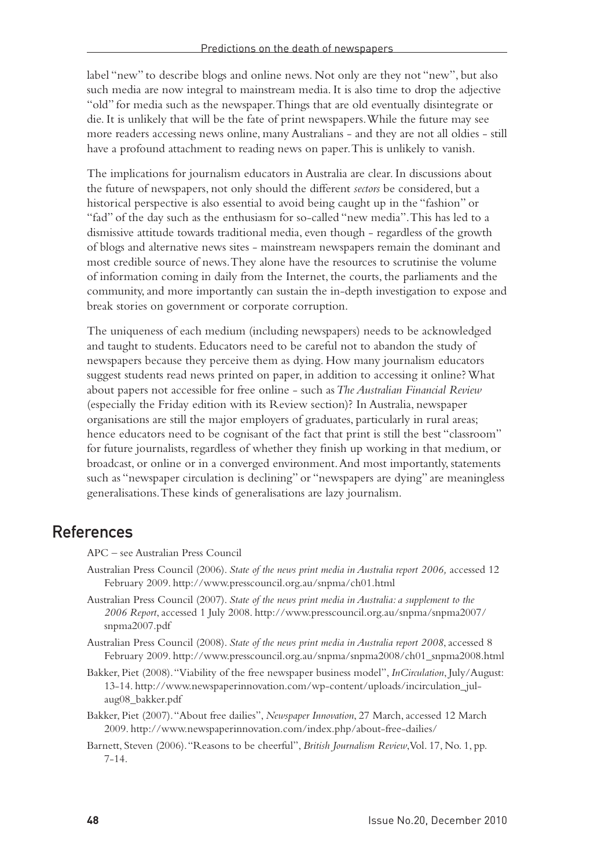label "new" to describe blogs and online news. Not only are they not "new", but also such media are now integral to mainstream media. It is also time to drop the adjective "old" for media such as the newspaper. Things that are old eventually disintegrate or die. It is unlikely that will be the fate of print newspapers. While the future may see more readers accessing news online, many Australians - and they are not all oldies - still have a profound attachment to reading news on paper. This is unlikely to vanish.

The implications for journalism educators in Australia are clear. In discussions about the future of newspapers, not only should the different *sectors* be considered, but a historical perspective is also essential to avoid being caught up in the "fashion" or "fad" of the day such as the enthusiasm for so-called "new media". This has led to a dismissive attitude towards traditional media, even though - regardless of the growth of blogs and alternative news sites - mainstream newspapers remain the dominant and most credible source of news. They alone have the resources to scrutinise the volume of information coming in daily from the Internet, the courts, the parliaments and the community, and more importantly can sustain the in-depth investigation to expose and break stories on government or corporate corruption.

The uniqueness of each medium (including newspapers) needs to be acknowledged and taught to students. Educators need to be careful not to abandon the study of newspapers because they perceive them as dying. How many journalism educators suggest students read news printed on paper, in addition to accessing it online? What about papers not accessible for free online - such as *The Australian Financial Review* (especially the Friday edition with its Review section)? In Australia, newspaper organisations are still the major employers of graduates, particularly in rural areas; hence educators need to be cognisant of the fact that print is still the best "classroom" for future journalists, regardless of whether they finish up working in that medium, or broadcast, or online or in a converged environment. And most importantly, statements such as "newspaper circulation is declining" or "newspapers are dying" are meaningless generalisations. These kinds of generalisations are lazy journalism.

### References

APC – see Australian Press Council

- Australian Press Council (2006). *State of the news print media in Australia report 2006,* accessed 12 February 2009. http://www.presscouncil.org.au/snpma/ch01.html
- Australian Press Council (2007). *State of the news print media in Australia: a supplement to the 2006 Report*, accessed 1 July 2008. http://www.presscouncil.org.au/snpma/snpma2007/ snpma2007.pdf
- Australian Press Council (2008). *State of the news print media in Australia report 2008*, accessed 8 February 2009. http://www.presscouncil.org.au/snpma/snpma2008/ch01\_snpma2008.html
- Bakker, Piet (2008). "Viability of the free newspaper business model", *InCirculation*, July/August: 13-14. http://www.newspaperinnovation.com/wp-content/uploads/incirculation\_julaug08\_bakker.pdf
- Bakker, Piet (2007). "About free dailies", *Newspaper Innovation*, 27 March, accessed 12 March 2009. http://www.newspaperinnovation.com/index.php/about-free-dailies/
- Barnett, Steven (2006). "Reasons to be cheerful", *British Journalism Review*, Vol. 17, No. 1, pp. 7-14.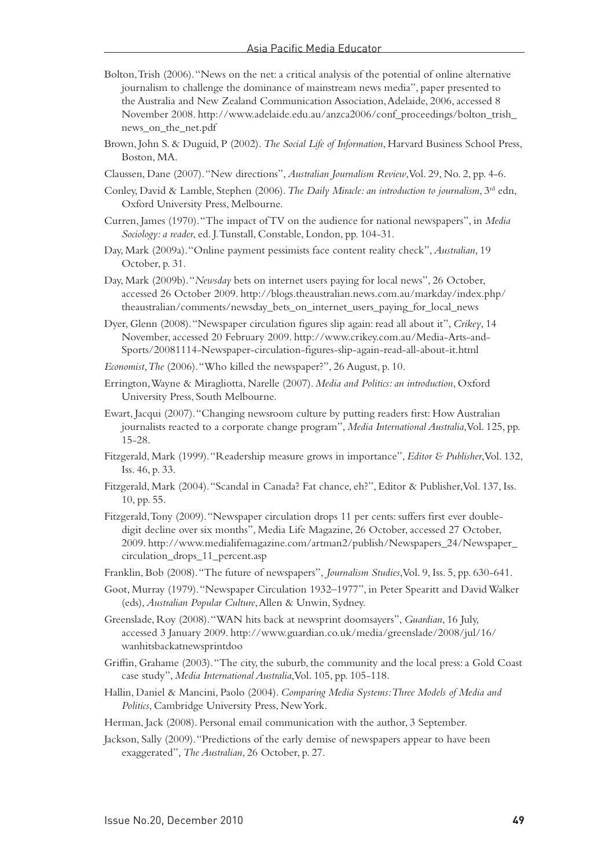- Bolton, Trish (2006). "News on the net: a critical analysis of the potential of online alternative journalism to challenge the dominance of mainstream news media", paper presented to the Australia and New Zealand Communication Association, Adelaide, 2006, accessed 8 November 2008. http://www.adelaide.edu.au/anzca2006/conf\_proceedings/bolton\_trish\_ news\_on\_the\_net.pdf
- Brown, John S. & Duguid, P (2002). *The Social Life of Information*, Harvard Business School Press, Boston, MA.
- Claussen, Dane (2007). "New directions", *Australian Journalism Review*, Vol. 29, No. 2, pp. 4-6.
- Conley, David & Lamble, Stephen (2006). *The Daily Miracle: an introduction to journalism*, 3rd edn, Oxford University Press, Melbourne.
- Curren, James (1970). "The impact of TV on the audience for national newspapers", in *Media Sociology: a reader*, ed. J. Tunstall, Constable, London, pp. 104-31.
- Day, Mark (2009a). "Online payment pessimists face content reality check", *Australian*, 19 October, p. 31.
- Day, Mark (2009b). "*Newsday* bets on internet users paying for local news", 26 October, accessed 26 October 2009. http://blogs.theaustralian.news.com.au/markday/index.php/ theaustralian/comments/newsday\_bets\_on\_internet\_users\_paying\_for\_local\_news
- Dyer, Glenn (2008). "Newspaper circulation figures slip again: read all about it", *Crikey*, 14 November, accessed 20 February 2009. http://www.crikey.com.au/Media-Arts-and-Sports/20081114-Newspaper-circulation-figures-slip-again-read-all-about-it.html
- *Economist, The* (2006). "Who killed the newspaper?", 26 August, p. 10.
- Errington, Wayne & Miragliotta, Narelle (2007). *Media and Politics: an introduction*, Oxford University Press, South Melbourne.
- Ewart, Jacqui (2007). "Changing newsroom culture by putting readers first: How Australian journalists reacted to a corporate change program", *Media International Australia*, Vol. 125, pp. 15-28.
- Fitzgerald, Mark (1999). "Readership measure grows in importance", *Editor & Publisher*, Vol. 132, Iss. 46, p. 33.
- Fitzgerald, Mark (2004). "Scandal in Canada? Fat chance, eh?", Editor & Publisher, Vol. 137, Iss. 10, pp. 55.
- Fitzgerald, Tony (2009). "Newspaper circulation drops 11 per cents: suffers first ever doubledigit decline over six months", Media Life Magazine, 26 October, accessed 27 October, 2009. http://www.medialifemagazine.com/artman2/publish/Newspapers\_24/Newspaper\_ circulation\_drops\_11\_percent.asp
- Franklin, Bob (2008). "The future of newspapers", *Journalism Studies*, Vol. 9, Iss. 5, pp. 630-641.
- Goot, Murray (1979). "Newspaper Circulation 1932–1977", in Peter Spearitt and David Walker (eds), *Australian Popular Culture*, Allen & Unwin, Sydney.
- Greenslade, Roy (2008). "WAN hits back at newsprint doomsayers", *Guardian*, 16 July, accessed 3 January 2009. http://www.guardian.co.uk/media/greenslade/2008/jul/16/ wanhitsbackatnewsprintdoo
- Griffin, Grahame (2003). "The city, the suburb, the community and the local press: a Gold Coast case study", *Media International Australia*, Vol. 105, pp. 105-118.
- Hallin, Daniel & Mancini, Paolo (2004). *Comparing Media Systems: Three Models of Media and Politics*, Cambridge University Press, New York.
- Herman, Jack (2008). Personal email communication with the author, 3 September.
- Jackson, Sally (2009). "Predictions of the early demise of newspapers appear to have been exaggerated", *The Australian*, 26 October, p. 27.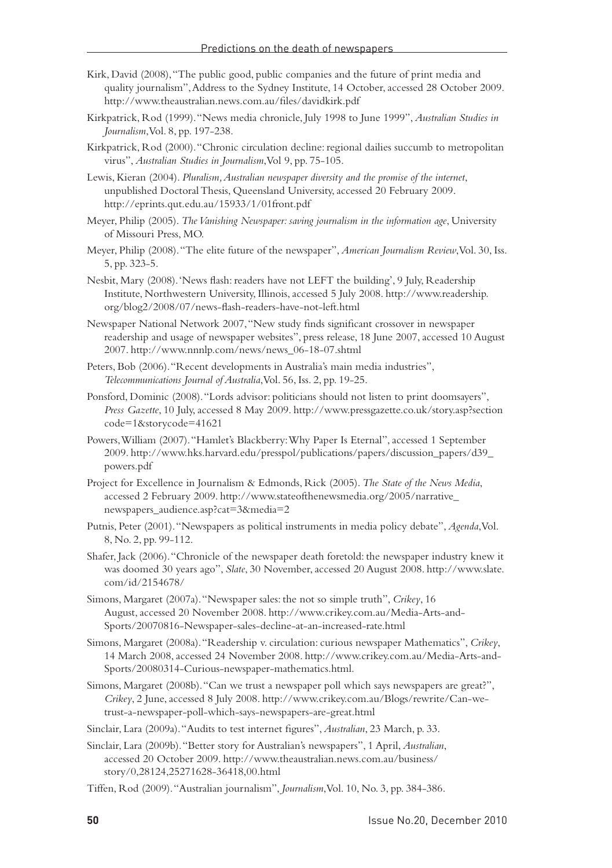- Kirk, David (2008), "The public good, public companies and the future of print media and quality journalism", Address to the Sydney Institute, 14 October, accessed 28 October 2009. http://www.theaustralian.news.com.au/files/davidkirk.pdf
- Kirkpatrick, Rod (1999). "News media chronicle, July 1998 to June 1999", *Australian Studies in Journalism*, Vol. 8, pp. 197-238.
- Kirkpatrick, Rod (2000). "Chronic circulation decline: regional dailies succumb to metropolitan virus", *Australian Studies in Journalism*, Vol 9, pp. 75-105.
- Lewis, Kieran (2004). *Pluralism, Australian newspaper diversity and the promise of the internet*, unpublished Doctoral Thesis, Queensland University, accessed 20 February 2009. http://eprints.qut.edu.au/15933/1/01front.pdf
- Meyer, Philip (2005). *The Vanishing Newspaper: saving journalism in the information age*, University of Missouri Press, MO.
- Meyer, Philip (2008). "The elite future of the newspaper", *American Journalism Review*, Vol. 30, Iss. 5, pp. 323-5.
- Nesbit, Mary (2008). 'News flash: readers have not LEFT the building', 9 July, Readership Institute, Northwestern University, Illinois, accessed 5 July 2008. http://www.readership. org/blog2/2008/07/news-flash-readers-have-not-left.html
- Newspaper National Network 2007, "New study finds significant crossover in newspaper readership and usage of newspaper websites", press release, 18 June 2007, accessed 10 August 2007. http://www.nnnlp.com/news/news\_06-18-07.shtml
- Peters, Bob (2006). "Recent developments in Australia's main media industries", *Telecommunications Journal of Australia*, Vol. 56, Iss. 2, pp. 19-25.
- Ponsford, Dominic (2008). "Lords advisor: politicians should not listen to print doomsayers", *Press Gazette*, 10 July, accessed 8 May 2009. http://www.pressgazette.co.uk/story.asp?section code=1&storycode=41621
- Powers, William (2007). "Hamlet's Blackberry: Why Paper Is Eternal", accessed 1 September 2009. http://www.hks.harvard.edu/presspol/publications/papers/discussion\_papers/d39\_ powers.pdf
- Project for Excellence in Journalism & Edmonds, Rick (2005). *The State of the News Media*, accessed 2 February 2009. http://www.stateofthenewsmedia.org/2005/narrative\_ newspapers\_audience.asp?cat=3&media=2
- Putnis, Peter (2001). "Newspapers as political instruments in media policy debate", *Agenda*, Vol. 8, No. 2, pp. 99-112.
- Shafer, Jack (2006). "Chronicle of the newspaper death foretold: the newspaper industry knew it was doomed 30 years ago", *Slate*, 30 November, accessed 20 August 2008. http://www.slate. com/id/2154678/
- Simons, Margaret (2007a). "Newspaper sales: the not so simple truth", *Crikey*, 16 August, accessed 20 November 2008. http://www.crikey.com.au/Media-Arts-and-Sports/20070816-Newspaper-sales-decline-at-an-increased-rate.html
- Simons, Margaret (2008a). "Readership v. circulation: curious newspaper Mathematics", *Crikey*, 14 March 2008, accessed 24 November 2008. http://www.crikey.com.au/Media-Arts-and-Sports/20080314-Curious-newspaper-mathematics.html.
- Simons, Margaret (2008b). "Can we trust a newspaper poll which says newspapers are great?", *Crikey*, 2 June, accessed 8 July 2008. http://www.crikey.com.au/Blogs/rewrite/Can-wetrust-a-newspaper-poll-which-says-newspapers-are-great.html
- Sinclair, Lara (2009a). "Audits to test internet figures", *Australian*, 23 March, p. 33.
- Sinclair, Lara (2009b). "Better story for Australian's newspapers", 1 April, *Australian*, accessed 20 October 2009. http://www.theaustralian.news.com.au/business/ story/0,28124,25271628-36418,00.html
- Tiffen, Rod (2009). "Australian journalism", *Journalism*, Vol. 10, No. 3, pp. 384-386.